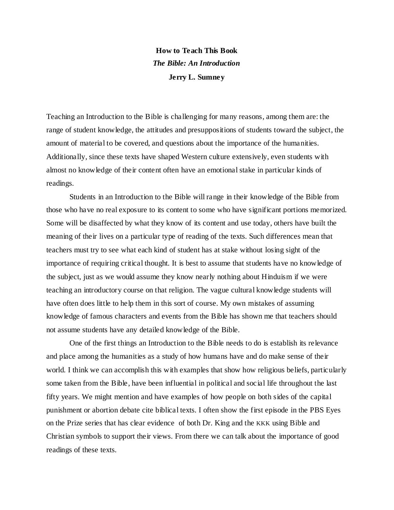## **How to Teach This Book** *The Bible: An Introduction* **Jerry L. Sumney**

Teaching an Introduction to the Bible is challenging for many reasons, among them are: the range of student knowledge, the attitudes and presuppositions of students toward the subject, the amount of material to be covered, and questions about the importance of the humanities. Additionally, since these texts have shaped Western culture extensively, even students with almost no knowledge of their content often have an emotional stake in particular kinds of readings.

Students in an Introduction to the Bible will range in their knowledge of the Bible from those who have no real exposure to its content to some who have significant portions memorized. Some will be disaffected by what they know of its content and use today, others have built the meaning of their lives on a particular type of reading of the texts. Such differences mean that teachers must try to see what each kind of student has at stake without losing sight of the importance of requiring critical thought. It is best to assume that students have no knowledge of the subject, just as we would assume they know nearly nothing about Hinduism if we were teaching an introductory course on that religion. The vague cultural knowledge students will have often does little to help them in this sort of course. My own mistakes of assuming knowledge of famous characters and events from the Bible has shown me that teachers should not assume students have any detailed knowledge of the Bible.

One of the first things an Introduction to the Bible needs to do is establish its relevance and place among the humanities as a study of how humans have and do make sense of their world. I think we can accomplish this with examples that show how religious beliefs, particularly some taken from the Bible, have been influential in political and social life throughout the last fifty years. We might mention and have examples of how people on both sides of the capital punishment or abortion debate cite biblical texts. I often show the first episode in the PBS Eyes on the Prize series that has clear evidence of both Dr. King and the KKK using Bible and Christian symbols to support their views. From there we can talk about the importance of good readings of these texts.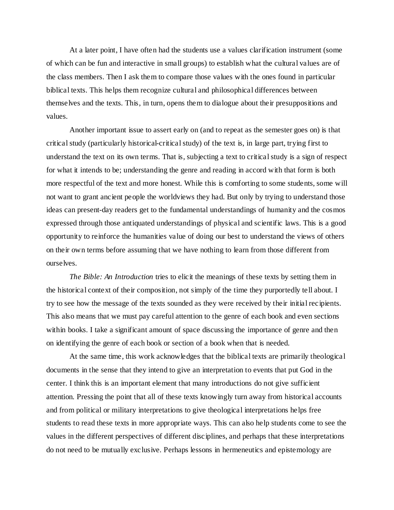At a later point, I have often had the students use a values clarification instrument (some of which can be fun and interactive in small groups) to establish what the cultural values are of the class members. Then I ask them to compare those values with the ones found in particular biblical texts. This helps them recognize cultural and philosophical differences between themselves and the texts. This, in turn, opens them to dialogue about their presuppositions and values.

Another important issue to assert early on (and to repeat as the semester goes on) is that critical study (particularly historical-critical study) of the text is, in large part, trying first to understand the text on its own terms. That is, subjecting a text to critical study is a sign of respect for what it intends to be; understanding the genre and reading in accord with that form is both more respectful of the text and more honest. While this is comforting to some students, some will not want to grant ancient people the worldviews they had. But only by trying to understand those ideas can present-day readers get to the fundamental understandings of humanity and the cosmos expressed through those antiquated understandings of physical and scientific laws. This is a good opportunity to reinforce the humanities value of doing our best to understand the views of others on their own terms before assuming that we have nothing to learn from those different from ourselves.

*The Bible: An Introduction* tries to elicit the meanings of these texts by setting them in the historical context of their composition, not simply of the time they purportedly tell about. I try to see how the message of the texts sounded as they were received by their initial recipients. This also means that we must pay careful attention to the genre of each book and even sections within books. I take a significant amount of space discussing the importance of genre and then on identifying the genre of each book or section of a book when that is needed.

At the same time, this work acknowledges that the biblical texts are primarily theological documents in the sense that they intend to give an interpretation to events that put God in the center. I think this is an important element that many introductions do not give sufficient attention. Pressing the point that all of these texts knowingly turn away from historical accounts and from political or military interpretations to give theological interpretations helps free students to read these texts in more appropriate ways. This can also help students come to see the values in the different perspectives of different disciplines, and perhaps that these interpretations do not need to be mutually exclusive. Perhaps lessons in hermeneutics and epistemology are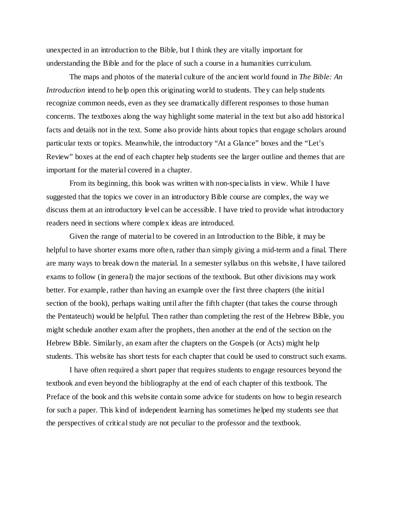unexpected in an introduction to the Bible, but I think they are vitally important for understanding the Bible and for the place of such a course in a humanities curriculum.

The maps and photos of the material culture of the ancient world found in *The Bible: An Introduction* intend to help open this originating world to students. They can help students recognize common needs, even as they see dramatically different responses to those human concerns. The textboxes along the way highlight some material in the text but also add historical facts and details not in the text. Some also provide hints about topics that engage scholars around particular texts or topics. Meanwhile, the introductory "At a Glance" boxes and the "Let's Review" boxes at the end of each chapter help students see the larger outline and themes that are important for the material covered in a chapter.

From its beginning, this book was written with non-specialists in view. While I have suggested that the topics we cover in an introductory Bible course are complex, the way we discuss them at an introductory level can be accessible. I have tried to provide what introductory readers need in sections where complex ideas are introduced.

Given the range of material to be covered in an Introduction to the Bible, it may be helpful to have shorter exams more often, rather than simply giving a mid-term and a final. There are many ways to break down the material. In a semester syllabus on this website, I have tailored exams to follow (in general) the major sections of the textbook. But other divisions may work better. For example, rather than having an example over the first three chapters (the initial section of the book), perhaps waiting until after the fifth chapter (that takes the course through the Pentateuch) would be helpful. Then rather than completing the rest of the Hebrew Bible, you might schedule another exam after the prophets, then another at the end of the section on the Hebrew Bible. Similarly, an exam after the chapters on the Gospels (or Acts) might help students. This website has short tests for each chapter that could be used to construct such exams.

I have often required a short paper that requires students to engage resources beyond the textbook and even beyond the bibliography at the end of each chapter of this textbook. The Preface of the book and this website contain some advice for students on how to begin research for such a paper. This kind of independent learning has sometimes helped my students see that the perspectives of critical study are not peculiar to the professor and the textbook.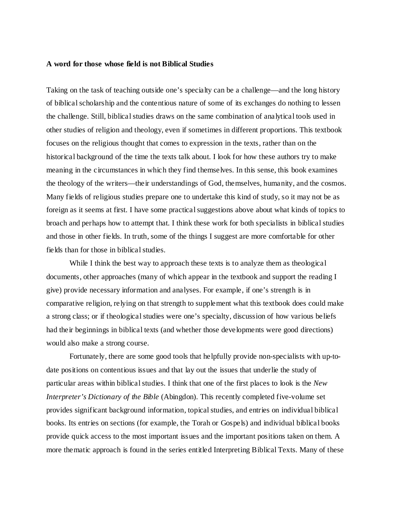## **A word for those whose field is not Biblical Studies**

Taking on the task of teaching outside one's specialty can be a challenge—and the long history of biblical scholarship and the contentious nature of some of its exchanges do nothing to lessen the challenge. Still, biblical studies draws on the same combination of analytical tools used in other studies of religion and theology, even if sometimes in different proportions. This textbook focuses on the religious thought that comes to expression in the texts, rather than on the historical background of the time the texts talk about. I look for how these authors try to make meaning in the circumstances in which they find themselves. In this sense, this book examines the theology of the writers—their understandings of God, themselves, humanity, and the cosmos. Many fields of religious studies prepare one to undertake this kind of study, so it may not be as foreign as it seems at first. I have some practical suggestions above about what kinds of topics to broach and perhaps how to attempt that. I think these work for both specialists in biblical studies and those in other fields. In truth, some of the things I suggest are more comfortable for other fields than for those in biblical studies.

While I think the best way to approach these texts is to analyze them as theological documents, other approaches (many of which appear in the textbook and support the reading I give) provide necessary information and analyses. For example, if one's strength is in comparative religion, relying on that strength to supplement what this textbook does could make a strong class; or if theological studies were one's specialty, discussion of how various beliefs had their beginnings in biblical texts (and whether those developments were good directions) would also make a strong course.

Fortunately, there are some good tools that helpfully provide non-specialists with up-todate positions on contentious issues and that lay out the issues that underlie the study of particular areas within biblical studies. I think that one of the first places to look is the *New Interpreter's Dictionary of the Bible* (Abingdon). This recently completed five-volume set provides significant background information, topical studies, and entries on individual biblical books. Its entries on sections (for example, the Torah or Gospels) and individual biblical books provide quick access to the most important issues and the important positions taken on them. A more thematic approach is found in the series entitled Interpreting Biblical Texts. Many of these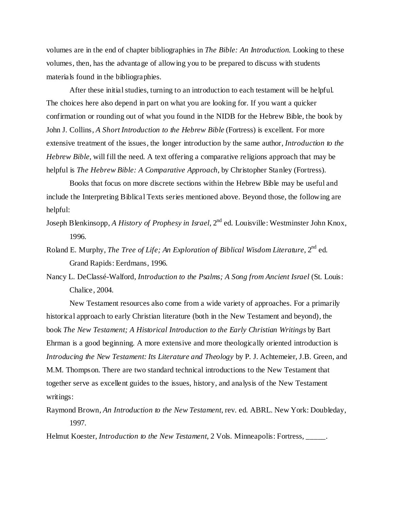volumes are in the end of chapter bibliographies in *The Bible: An Introduction*. Looking to these volumes, then, has the advantage of allowing you to be prepared to discuss with students materials found in the bibliographies.

After these initial studies, turning to an introduction to each testament will be helpful. The choices here also depend in part on what you are looking for. If you want a quicker confirmation or rounding out of what you found in the NIDB for the Hebrew Bible, the book by John J. Collins, *A Short Introduction to the Hebrew Bible* (Fortress) is excellent. For more extensive treatment of the issues, the longer introduction by the same author, *Introduction to the Hebrew Bible*, will fill the need. A text offering a comparative religions approach that may be helpful is *The Hebrew Bible: A Comparative Approach*, by Christopher Stanley (Fortress).

Books that focus on more discrete sections within the Hebrew Bible may be useful and include the Interpreting Biblical Texts series mentioned above. Beyond those, the following are helpful:

- Joseph Blenkinsopp, *A History of Prophesy in Israel*, 2<sup>nd</sup> ed. Louisville: Westminster John Knox, 1996.
- Roland E. Murphy, *The Tree of Life; An Exploration of Biblical Wisdom Literature*, 2<sup>nd</sup> ed. Grand Rapids: Eerdmans, 1996.
- Nancy L. DeClassé-Walford, *Introduction to the Psalms; A Song from Ancient Israel* (St. Louis: Chalice, 2004.

New Testament resources also come from a wide variety of approaches. For a primarily historical approach to early Christian literature (both in the New Testament and beyond), the book *The New Testament; A Historical Introduction to the Early Christian Writings* by Bart Ehrman is a good beginning. A more extensive and more theologically oriented introduction is *Introducing the New Testament: Its Literature and Theology* by P. J. Achtemeier, J.B. Green, and M.M. Thompson. There are two standard technical introductions to the New Testament that together serve as excellent guides to the issues, history, and analysis of the New Testament writings:

Raymond Brown, *An Introduction to the New Testament*, rev. ed. ABRL. New York: Doubleday, 1997.

Helmut Koester, *Introduction to the New Testament*, 2 Vols. Minneapolis: Fortress, \_\_\_\_\_.